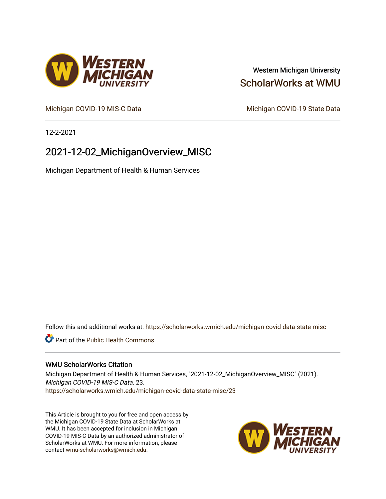## Western Michigan University [ScholarWorks at WMU](https://scholarworks.wmich.edu/)

[Michigan COVID-19 MIS-C Data](https://scholarworks.wmich.edu/michigan-covid-data-state-misc) Michigan COVID-19 State Data

12-2-2021

# 2021-12-02\_MichiganOverview\_MISC

Michigan Department of Health & Human Services

Follow this and additional works at: [https://scholarworks.wmich.edu/michigan-covid-data-state-misc](https://scholarworks.wmich.edu/michigan-covid-data-state-misc?utm_source=scholarworks.wmich.edu%2Fmichigan-covid-data-state-misc%2F23&utm_medium=PDF&utm_campaign=PDFCoverPages) 

**Part of the Public Health Commons** 

#### WMU ScholarWorks Citation

Michigan Department of Health & Human Services, "2021-12-02\_MichiganOverview\_MISC" (2021). Michigan COVID-19 MIS-C Data. 23. [https://scholarworks.wmich.edu/michigan-covid-data-state-misc/23](https://scholarworks.wmich.edu/michigan-covid-data-state-misc/23?utm_source=scholarworks.wmich.edu%2Fmichigan-covid-data-state-misc%2F23&utm_medium=PDF&utm_campaign=PDFCoverPages)

This Article is brought to you for free and open access by the Michigan COVID-19 State Data at ScholarWorks at WMU. It has been accepted for inclusion in Michigan COVID-19 MIS-C Data by an authorized administrator of ScholarWorks at WMU. For more information, please contact [wmu-scholarworks@wmich.edu](mailto:wmu-scholarworks@wmich.edu).



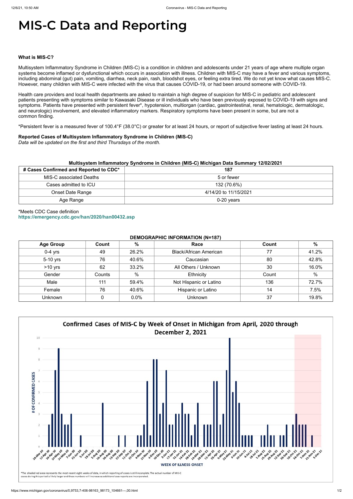# **MIS-C Data and Reporting**

#### **What is MIS-C?**

Multisystem Inflammatory Syndrome in Children (MIS-C) is a condition in children and adolescents under 21 years of age where multiple organ systems become inflamed or dysfunctional which occurs in association with illness. Children with MIS-C may have a fever and various symptoms, including abdominal (gut) pain, vomiting, diarrhea, neck pain, rash, bloodshot eyes, or feeling extra tired. We do not yet know what causes MIS-C. However, many children with MIS-C were infected with the virus that causes COVID-19, or had been around someone with COVID-19.

Health care providers and local health departments are asked to maintain a high degree of suspicion for MIS-C in pediatric and adolescent patients presenting with symptoms similar to Kawasaki Disease or ill individuals who have been previously exposed to COVID-19 with signs and symptoms. Patients have presented with persistent fever\*, hypotension, multiorgan (cardiac, gastrointestinal, renal, hematologic, dermatologic, and neurologic) involvement, and elevated inflammatory markers. Respiratory symptoms have been present in some, but are not a common finding.

\*Persistent fever is a measured fever of 100.4°F (38.0°C) or greater for at least 24 hours, or report of subjective fever lasting at least 24 hours.

#### **Reported Cases of Multisystem Inflammatory Syndrome in Children (MIS-C)**

*Data will be updated on the first and third Thursdays of the month.*

| Multisystem Inflammatory Syndrome in Children (MIS-C) Michigan Data Summary 12/02/2021 |                       |  |  |  |
|----------------------------------------------------------------------------------------|-----------------------|--|--|--|
| # Cases Confirmed and Reported to CDC*                                                 | 187                   |  |  |  |
| MIS-C associated Deaths                                                                | 5 or fewer            |  |  |  |
| Cases admitted to ICU                                                                  | 132 (70.6%)           |  |  |  |
| <b>Onset Date Range</b>                                                                | 4/14/20 to 11/15/2021 |  |  |  |
| Age Range                                                                              | $0-20$ years          |  |  |  |

### \*Meets CDC Case definition **<https://emergency.cdc.gov/han/2020/han00432.asp>**

#### **DEMOGRAPHIC INFORMATION (N=187)**

| <b>Age Group</b> | Count  | $\frac{0}{0}$ | Race                          | Count | $\%$  |
|------------------|--------|---------------|-------------------------------|-------|-------|
| $0-4$ yrs        | 49     | 26.2%         | <b>Black/African American</b> | 77    | 41.2% |
| 5-10 yrs         | 76     | 40.6%         | Caucasian                     | 80    | 42.8% |
| $>10$ yrs        | 62     | 33.2%         | All Others / Unknown          | 30    | 16.0% |
| Gender           | Counts | %             | Ethnicity                     | Count | %     |
| Male             | 111    | 59.4%         | Not Hispanic or Latino        | 136   | 72.7% |
| Female           | 76     | 40.6%         | Hispanic or Latino            | 14    | 7.5%  |
| Unknown          |        | 0.0%          | <b>Unknown</b>                | 37    | 19.8% |